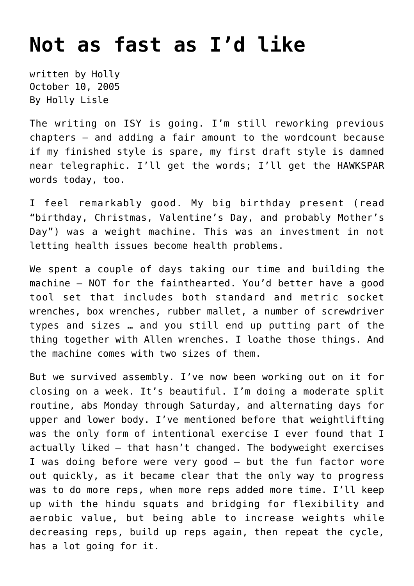## **[Not as fast as I'd like](https://hollylisle.com/not-as-fast-as-id-like/)**

written by Holly October 10, 2005 [By Holly Lisle](https://hollylisle.com)

The writing on ISY is going. I'm still reworking previous chapters — and adding a fair amount to the wordcount because if my finished style is spare, my first draft style is damned near telegraphic. I'll get the words; I'll get the HAWKSPAR words today, too.

I feel remarkably good. My big birthday present (read "birthday, Christmas, Valentine's Day, and probably Mother's Day") was a [weight machine.](http://www.crossbarfitness.com/crossbarmax/new_crossbar_max.html) This was an investment in not letting health issues become health problems.

We spent a couple of days taking our time and building the machine — NOT for the fainthearted. You'd better have a good tool set that includes both standard and metric socket wrenches, box wrenches, rubber mallet, a number of screwdriver types and sizes … and you still end up putting part of the thing together with Allen wrenches. I loathe those things. And the machine comes with two sizes of them.

But we survived assembly. I've now been working out on it for closing on a week. It's beautiful. I'm doing a moderate split routine, abs Monday through Saturday, and alternating days for upper and lower body. I've mentioned before that weightlifting was the only form of intentional exercise I ever found that I actually liked — that hasn't changed. The bodyweight exercises I was doing before were very good — but the fun factor wore out quickly, as it became clear that the only way to progress was to do more reps, when more reps added more time. I'll keep up with the hindu squats and bridging for flexibility and aerobic value, but being able to increase weights while decreasing reps, build up reps again, then repeat the cycle, has a lot going for it.